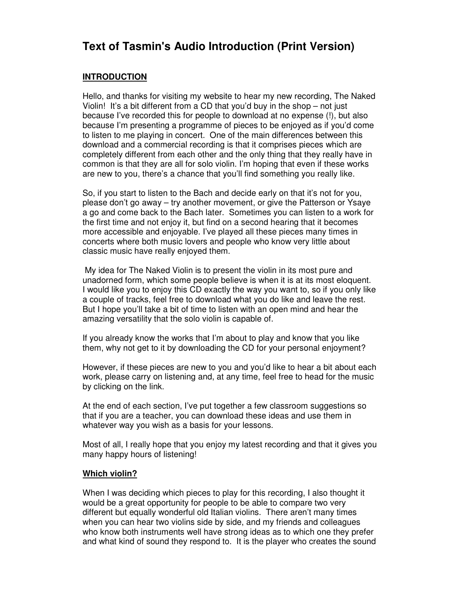# **Text of Tasmin's Audio Introduction (Print Version)**

# **INTRODUCTION**

Hello, and thanks for visiting my website to hear my new recording, The Naked Violin! It's a bit different from a CD that you'd buy in the shop – not just because I've recorded this for people to download at no expense (!), but also because I'm presenting a programme of pieces to be enjoyed as if you'd come to listen to me playing in concert. One of the main differences between this download and a commercial recording is that it comprises pieces which are completely different from each other and the only thing that they really have in common is that they are all for solo violin. I'm hoping that even if these works are new to you, there's a chance that you'll find something you really like.

So, if you start to listen to the Bach and decide early on that it's not for you, please don't go away – try another movement, or give the Patterson or Ysaye a go and come back to the Bach later. Sometimes you can listen to a work for the first time and not enjoy it, but find on a second hearing that it becomes more accessible and enjoyable. I've played all these pieces many times in concerts where both music lovers and people who know very little about classic music have really enjoyed them.

 My idea for The Naked Violin is to present the violin in its most pure and unadorned form, which some people believe is when it is at its most eloquent. I would like you to enjoy this CD exactly the way you want to, so if you only like a couple of tracks, feel free to download what you do like and leave the rest. But I hope you'll take a bit of time to listen with an open mind and hear the amazing versatility that the solo violin is capable of.

If you already know the works that I'm about to play and know that you like them, why not get to it by downloading the CD for your personal enjoyment?

However, if these pieces are new to you and you'd like to hear a bit about each work, please carry on listening and, at any time, feel free to head for the music by clicking on the link.

At the end of each section, I've put together a few classroom suggestions so that if you are a teacher, you can download these ideas and use them in whatever way you wish as a basis for your lessons.

Most of all, I really hope that you enjoy my latest recording and that it gives you many happy hours of listening!

## **Which violin?**

When I was deciding which pieces to play for this recording, I also thought it would be a great opportunity for people to be able to compare two very different but equally wonderful old Italian violins. There aren't many times when you can hear two violins side by side, and my friends and colleagues who know both instruments well have strong ideas as to which one they prefer and what kind of sound they respond to. It is the player who creates the sound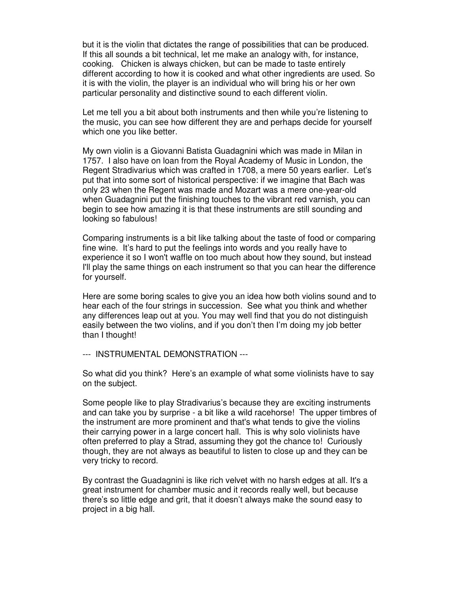but it is the violin that dictates the range of possibilities that can be produced. If this all sounds a bit technical, let me make an analogy with, for instance, cooking. Chicken is always chicken, but can be made to taste entirely different according to how it is cooked and what other ingredients are used. So it is with the violin, the player is an individual who will bring his or her own particular personality and distinctive sound to each different violin.

Let me tell you a bit about both instruments and then while you're listening to the music, you can see how different they are and perhaps decide for yourself which one you like better.

My own violin is a Giovanni Batista Guadagnini which was made in Milan in 1757. I also have on loan from the Royal Academy of Music in London, the Regent Stradivarius which was crafted in 1708, a mere 50 years earlier. Let's put that into some sort of historical perspective: if we imagine that Bach was only 23 when the Regent was made and Mozart was a mere one-year-old when Guadagnini put the finishing touches to the vibrant red varnish, you can begin to see how amazing it is that these instruments are still sounding and looking so fabulous!

Comparing instruments is a bit like talking about the taste of food or comparing fine wine. It's hard to put the feelings into words and you really have to experience it so I won't waffle on too much about how they sound, but instead I'll play the same things on each instrument so that you can hear the difference for yourself.

Here are some boring scales to give you an idea how both violins sound and to hear each of the four strings in succession. See what you think and whether any differences leap out at you. You may well find that you do not distinguish easily between the two violins, and if you don't then I'm doing my job better than I thought!

--- INSTRUMENTAL DEMONSTRATION ---

So what did you think? Here's an example of what some violinists have to say on the subject.

Some people like to play Stradivarius's because they are exciting instruments and can take you by surprise - a bit like a wild racehorse! The upper timbres of the instrument are more prominent and that's what tends to give the violins their carrying power in a large concert hall. This is why solo violinists have often preferred to play a Strad, assuming they got the chance to! Curiously though, they are not always as beautiful to listen to close up and they can be very tricky to record.

By contrast the Guadagnini is like rich velvet with no harsh edges at all. It's a great instrument for chamber music and it records really well, but because there's so little edge and grit, that it doesn't always make the sound easy to project in a big hall.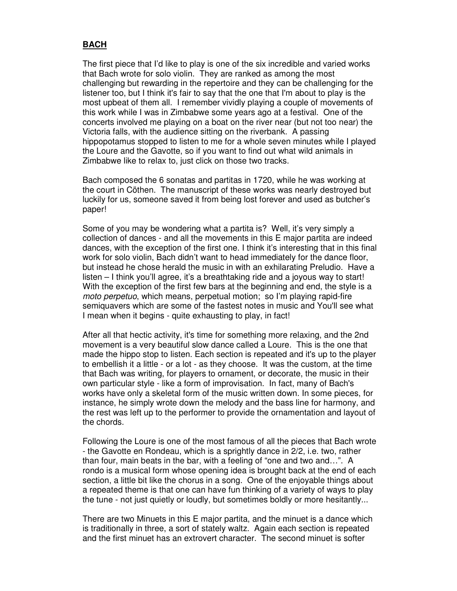## **BACH**

The first piece that I'd like to play is one of the six incredible and varied works that Bach wrote for solo violin. They are ranked as among the most challenging but rewarding in the repertoire and they can be challenging for the listener too, but I think it's fair to say that the one that I'm about to play is the most upbeat of them all. I remember vividly playing a couple of movements of this work while I was in Zimbabwe some years ago at a festival. One of the concerts involved me playing on a boat on the river near (but not too near) the Victoria falls, with the audience sitting on the riverbank. A passing hippopotamus stopped to listen to me for a whole seven minutes while I played the Loure and the Gavotte, so if you want to find out what wild animals in Zimbabwe like to relax to, just click on those two tracks.

Bach composed the 6 sonatas and partitas in 1720, while he was working at the court in Cöthen. The manuscript of these works was nearly destroyed but luckily for us, someone saved it from being lost forever and used as butcher's paper!

Some of you may be wondering what a partita is? Well, it's very simply a collection of dances - and all the movements in this E major partita are indeed dances, with the exception of the first one. I think it's interesting that in this final work for solo violin, Bach didn't want to head immediately for the dance floor, but instead he chose herald the music in with an exhilarating Preludio. Have a listen – I think you'll agree, it's a breathtaking ride and a joyous way to start! With the exception of the first few bars at the beginning and end, the style is a moto perpetuo, which means, perpetual motion; so I'm playing rapid-fire semiquavers which are some of the fastest notes in music and You'll see what I mean when it begins - quite exhausting to play, in fact!

After all that hectic activity, it's time for something more relaxing, and the 2nd movement is a very beautiful slow dance called a Loure. This is the one that made the hippo stop to listen. Each section is repeated and it's up to the player to embellish it a little - or a lot - as they choose. It was the custom, at the time that Bach was writing, for players to ornament, or decorate, the music in their own particular style - like a form of improvisation. In fact, many of Bach's works have only a skeletal form of the music written down. In some pieces, for instance, he simply wrote down the melody and the bass line for harmony, and the rest was left up to the performer to provide the ornamentation and layout of the chords.

Following the Loure is one of the most famous of all the pieces that Bach wrote - the Gavotte en Rondeau, which is a sprightly dance in 2/2, i.e. two, rather than four, main beats in the bar, with a feeling of "one and two and…". A rondo is a musical form whose opening idea is brought back at the end of each section, a little bit like the chorus in a song. One of the enjoyable things about a repeated theme is that one can have fun thinking of a variety of ways to play the tune - not just quietly or loudly, but sometimes boldly or more hesitantly...

There are two Minuets in this E major partita, and the minuet is a dance which is traditionally in three, a sort of stately waltz. Again each section is repeated and the first minuet has an extrovert character. The second minuet is softer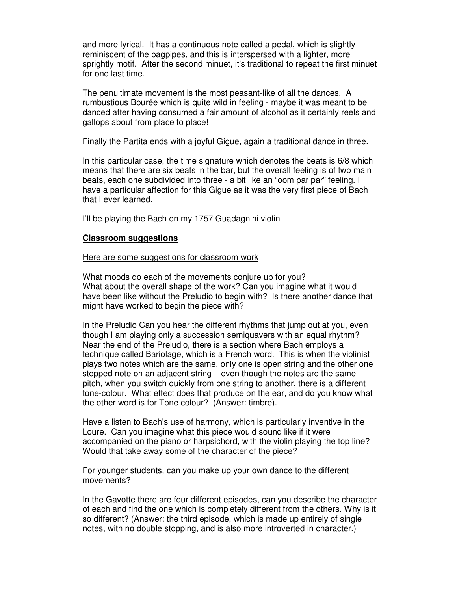and more lyrical. It has a continuous note called a pedal, which is slightly reminiscent of the bagpipes, and this is interspersed with a lighter, more sprightly motif. After the second minuet, it's traditional to repeat the first minuet for one last time.

The penultimate movement is the most peasant-like of all the dances. A rumbustious Bourée which is quite wild in feeling - maybe it was meant to be danced after having consumed a fair amount of alcohol as it certainly reels and gallops about from place to place!

Finally the Partita ends with a joyful Gigue, again a traditional dance in three.

In this particular case, the time signature which denotes the beats is 6/8 which means that there are six beats in the bar, but the overall feeling is of two main beats, each one subdivided into three - a bit like an "oom par par" feeling. I have a particular affection for this Gigue as it was the very first piece of Bach that I ever learned.

I'll be playing the Bach on my 1757 Guadagnini violin

## **Classroom suggestions**

#### Here are some suggestions for classroom work

What moods do each of the movements conjure up for you? What about the overall shape of the work? Can you imagine what it would have been like without the Preludio to begin with? Is there another dance that might have worked to begin the piece with?

In the Preludio Can you hear the different rhythms that jump out at you, even though I am playing only a succession semiquavers with an equal rhythm? Near the end of the Preludio, there is a section where Bach employs a technique called Bariolage, which is a French word. This is when the violinist plays two notes which are the same, only one is open string and the other one stopped note on an adjacent string – even though the notes are the same pitch, when you switch quickly from one string to another, there is a different tone-colour. What effect does that produce on the ear, and do you know what the other word is for Tone colour? (Answer: timbre).

Have a listen to Bach's use of harmony, which is particularly inventive in the Loure. Can you imagine what this piece would sound like if it were accompanied on the piano or harpsichord, with the violin playing the top line? Would that take away some of the character of the piece?

For younger students, can you make up your own dance to the different movements?

In the Gavotte there are four different episodes, can you describe the character of each and find the one which is completely different from the others. Why is it so different? (Answer: the third episode, which is made up entirely of single notes, with no double stopping, and is also more introverted in character.)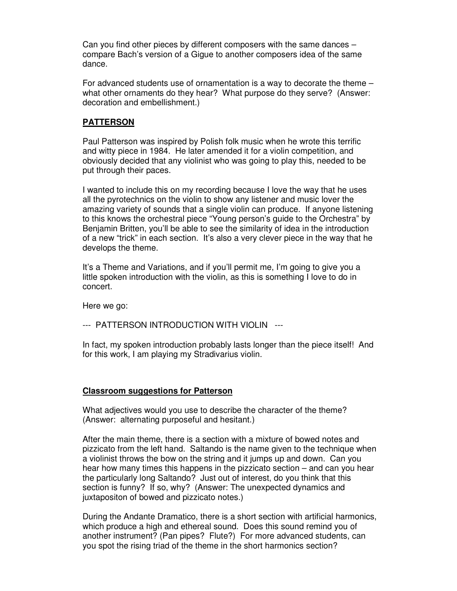Can you find other pieces by different composers with the same dances – compare Bach's version of a Gigue to another composers idea of the same dance.

For advanced students use of ornamentation is a way to decorate the theme – what other ornaments do they hear? What purpose do they serve? (Answer: decoration and embellishment.)

## **PATTERSON**

Paul Patterson was inspired by Polish folk music when he wrote this terrific and witty piece in 1984. He later amended it for a violin competition, and obviously decided that any violinist who was going to play this, needed to be put through their paces.

I wanted to include this on my recording because I love the way that he uses all the pyrotechnics on the violin to show any listener and music lover the amazing variety of sounds that a single violin can produce. If anyone listening to this knows the orchestral piece "Young person's guide to the Orchestra" by Benjamin Britten, you'll be able to see the similarity of idea in the introduction of a new "trick" in each section. It's also a very clever piece in the way that he develops the theme.

It's a Theme and Variations, and if you'll permit me, I'm going to give you a little spoken introduction with the violin, as this is something I love to do in concert.

Here we go:

--- PATTERSON INTRODUCTION WITH VIOLIN ---

In fact, my spoken introduction probably lasts longer than the piece itself! And for this work, I am playing my Stradivarius violin.

## **Classroom suggestions for Patterson**

What adjectives would you use to describe the character of the theme? (Answer: alternating purposeful and hesitant.)

After the main theme, there is a section with a mixture of bowed notes and pizzicato from the left hand. Saltando is the name given to the technique when a violinist throws the bow on the string and it jumps up and down. Can you hear how many times this happens in the pizzicato section – and can you hear the particularly long Saltando? Just out of interest, do you think that this section is funny? If so, why? (Answer: The unexpected dynamics and juxtapositon of bowed and pizzicato notes.)

During the Andante Dramatico, there is a short section with artificial harmonics, which produce a high and ethereal sound. Does this sound remind you of another instrument? (Pan pipes? Flute?) For more advanced students, can you spot the rising triad of the theme in the short harmonics section?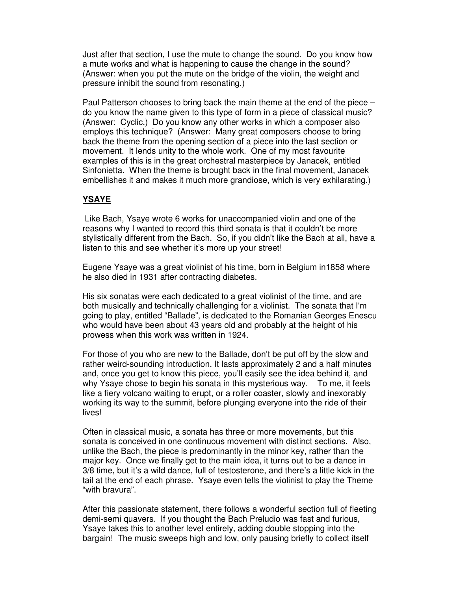Just after that section, I use the mute to change the sound. Do you know how a mute works and what is happening to cause the change in the sound? (Answer: when you put the mute on the bridge of the violin, the weight and pressure inhibit the sound from resonating.)

Paul Patterson chooses to bring back the main theme at the end of the piece – do you know the name given to this type of form in a piece of classical music? (Answer: Cyclic.) Do you know any other works in which a composer also employs this technique? (Answer: Many great composers choose to bring back the theme from the opening section of a piece into the last section or movement. It lends unity to the whole work. One of my most favourite examples of this is in the great orchestral masterpiece by Janacek, entitled Sinfonietta. When the theme is brought back in the final movement, Janacek embellishes it and makes it much more grandiose, which is very exhilarating.)

# **YSAYE**

 Like Bach, Ysaye wrote 6 works for unaccompanied violin and one of the reasons why I wanted to record this third sonata is that it couldn't be more stylistically different from the Bach. So, if you didn't like the Bach at all, have a listen to this and see whether it's more up your street!

Eugene Ysaye was a great violinist of his time, born in Belgium in1858 where he also died in 1931 after contracting diabetes.

His six sonatas were each dedicated to a great violinist of the time, and are both musically and technically challenging for a violinist. The sonata that I'm going to play, entitled "Ballade", is dedicated to the Romanian Georges Enescu who would have been about 43 years old and probably at the height of his prowess when this work was written in 1924.

For those of you who are new to the Ballade, don't be put off by the slow and rather weird-sounding introduction. It lasts approximately 2 and a half minutes and, once you get to know this piece, you'll easily see the idea behind it, and why Ysaye chose to begin his sonata in this mysterious way. To me, it feels like a fiery volcano waiting to erupt, or a roller coaster, slowly and inexorably working its way to the summit, before plunging everyone into the ride of their lives!

Often in classical music, a sonata has three or more movements, but this sonata is conceived in one continuous movement with distinct sections. Also, unlike the Bach, the piece is predominantly in the minor key, rather than the major key. Once we finally get to the main idea, it turns out to be a dance in 3/8 time, but it's a wild dance, full of testosterone, and there's a little kick in the tail at the end of each phrase. Ysaye even tells the violinist to play the Theme "with bravura".

After this passionate statement, there follows a wonderful section full of fleeting demi-semi quavers. If you thought the Bach Preludio was fast and furious, Ysaye takes this to another level entirely, adding double stopping into the bargain! The music sweeps high and low, only pausing briefly to collect itself